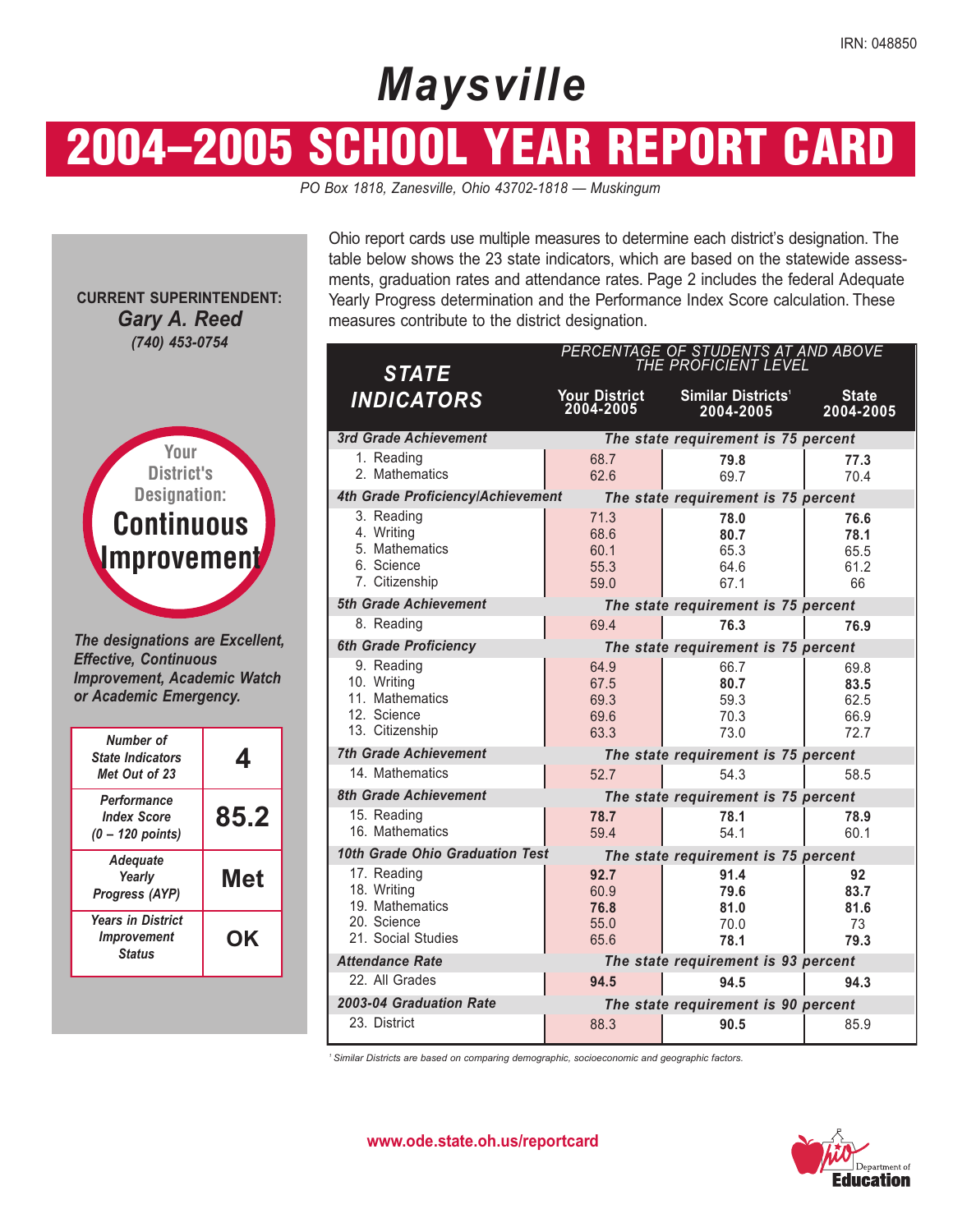# *Maysville*

# 2004–2005 SCHOOL YEAR REPORT CARD

*PO Box 1818, Zanesville, Ohio 43702-1818 — Muskingum* 

**CURRENT SUPERINTENDENT:**  *Gary A. Reed (740) 453-0754* 



*The designations are Excellent, Effective, Continuous Improvement, Academic Watch or Academic Emergency.* 

| Number of<br><b>State Indicators</b><br>Met Out of 23                  |            |
|------------------------------------------------------------------------|------------|
| Performance<br><b>Index Score</b><br>$(0 - 120$ points)                | 85.2       |
| <b>Adequate</b><br>Yearly<br><b>Progress (AYP)</b>                     | <b>Met</b> |
| <b>Years in District</b><br><i><b>Improvement</b></i><br><b>Status</b> | ΟK         |

Ohio report cards use multiple measures to determine each district's designation. The table below shows the 23 state indicators, which are based on the statewide assessments, graduation rates and attendance rates. Page 2 includes the federal Adequate Yearly Progress determination and the Performance Index Score calculation. These measures contribute to the district designation.

| <b>STATE</b>                                                                       | PERCENTAGE OF STUDENTS AT AND ABOVE<br>THE PROFICIENT LEVEL |                                             |                                      |  |  |  |  |
|------------------------------------------------------------------------------------|-------------------------------------------------------------|---------------------------------------------|--------------------------------------|--|--|--|--|
| <b>INDICATORS</b>                                                                  | <b>Your District</b><br>2004-2005                           | Similar Districts <sup>1</sup><br>2004-2005 | <b>State</b><br>2004-2005            |  |  |  |  |
| 3rd Grade Achievement                                                              |                                                             | The state requirement is 75 percent         |                                      |  |  |  |  |
| 1. Reading<br>2. Mathematics                                                       | 68.7<br>62.6                                                | 79.8<br>69.7                                | 77.3<br>70.4                         |  |  |  |  |
| 4th Grade Proficiency/Achievement                                                  |                                                             | The state requirement is 75 percent         |                                      |  |  |  |  |
| 3. Reading<br>4. Writing<br>5. Mathematics<br>6. Science<br>7. Citizenship         | 71.3<br>68.6<br>60.1<br>55.3<br>59.0                        | 78.0<br>80.7<br>65.3<br>64.6<br>67.1        | 76.6<br>78.1<br>65.5<br>61.2<br>66   |  |  |  |  |
| 5th Grade Achievement                                                              |                                                             | The state requirement is 75 percent         |                                      |  |  |  |  |
| 8. Reading                                                                         | 69.4                                                        | 76.3                                        | 76.9                                 |  |  |  |  |
| <b>6th Grade Proficiency</b>                                                       |                                                             | The state requirement is 75 percent         |                                      |  |  |  |  |
| 9. Reading<br>10. Writing<br>11. Mathematics<br>12. Science<br>13. Citizenship     | 64.9<br>67.5<br>69.3<br>69.6<br>63.3                        | 66.7<br>80.7<br>59.3<br>70.3<br>73.0        | 69.8<br>83.5<br>62.5<br>66.9<br>72.7 |  |  |  |  |
| <b>7th Grade Achievement</b>                                                       |                                                             | The state requirement is 75 percent         |                                      |  |  |  |  |
| 14. Mathematics                                                                    | 52.7                                                        | 54.3                                        | 58.5                                 |  |  |  |  |
| <b>8th Grade Achievement</b>                                                       |                                                             | The state requirement is 75 percent         |                                      |  |  |  |  |
| 15. Reading<br>16. Mathematics                                                     | 78.7<br>59.4                                                | 78.1<br>54.1                                | 78.9<br>60.1                         |  |  |  |  |
| 10th Grade Ohio Graduation Test                                                    |                                                             | The state requirement is 75 percent         |                                      |  |  |  |  |
| 17. Reading<br>18. Writing<br>19. Mathematics<br>20. Science<br>21. Social Studies | 92.7<br>60.9<br>76.8<br>55.0<br>65.6                        | 91.4<br>79.6<br>81.0<br>70.0<br>78.1        | 92<br>83.7<br>81.6<br>73<br>79.3     |  |  |  |  |
| <b>Attendance Rate</b>                                                             |                                                             | The state requirement is 93 percent         |                                      |  |  |  |  |
| 22. All Grades                                                                     | 94.5                                                        | 94.5                                        | 94.3                                 |  |  |  |  |
| 2003-04 Graduation Rate                                                            |                                                             | The state requirement is 90 percent         |                                      |  |  |  |  |
| 23. District                                                                       | 88.3                                                        | 90.5                                        | 85.9                                 |  |  |  |  |

*1 Similar Districts are based on comparing demographic, socioeconomic and geographic factors.* 

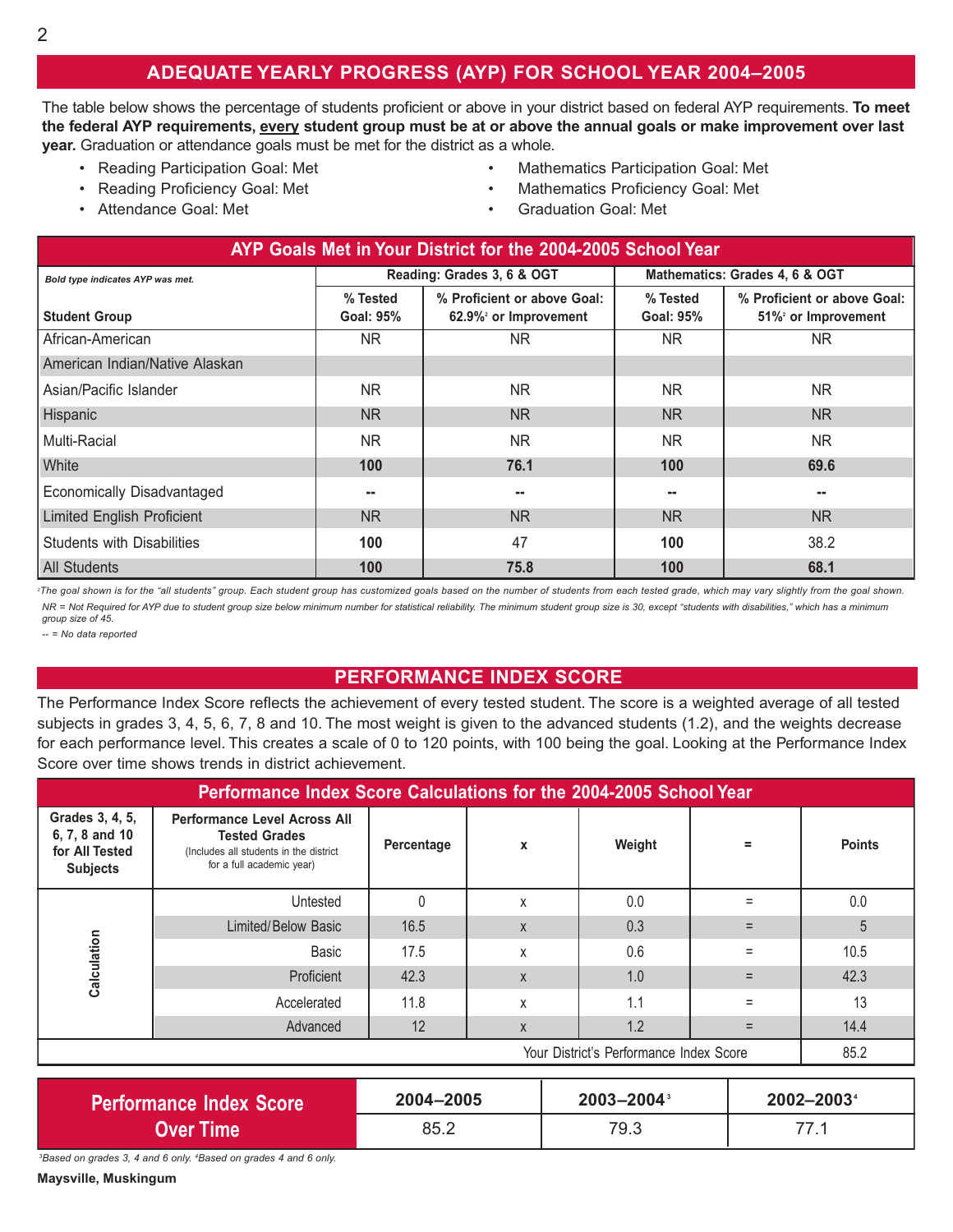### **ADEQUATE YEARLY PROGRESS (AYP) FOR SCHOOL YEAR 2004–2005**

The table below shows the percentage of students proficient or above in your district based on federal AYP requirements. To meet **the federal AYP requirements, every student group must be at or above the annual goals or make improvement over last year.** Graduation or attendance goals must be met for the district as a whole.

- 
- 
- 
- Reading Participation Goal: Met Mathematics Participation Goal: Met
- Reading Proficiency Goal: Met **•** Mathematics Proficiency Goal: Met
- Attendance Goal: Met Graduation Goal: Met

| AYP Goals Met in Your District for the 2004-2005 School Year |                              |                                                                  |                                |                                                   |  |  |  |  |
|--------------------------------------------------------------|------------------------------|------------------------------------------------------------------|--------------------------------|---------------------------------------------------|--|--|--|--|
| Bold type indicates AYP was met.                             |                              | Reading: Grades 3, 6 & OGT                                       | Mathematics: Grades 4, 6 & OGT |                                                   |  |  |  |  |
| <b>Student Group</b>                                         | % Tested<br><b>Goal: 95%</b> | % Proficient or above Goal:<br>62.9% <sup>2</sup> or Improvement | % Tested<br><b>Goal: 95%</b>   | % Proficient or above Goal:<br>51% or Improvement |  |  |  |  |
| African-American                                             | N <sub>R</sub>               | NR.                                                              | NR.                            | NR.                                               |  |  |  |  |
| American Indian/Native Alaskan                               |                              |                                                                  |                                |                                                   |  |  |  |  |
| Asian/Pacific Islander                                       | <b>NR</b>                    | <b>NR</b>                                                        | NR.                            | <b>NR</b>                                         |  |  |  |  |
| Hispanic                                                     | N <sub>R</sub>               | N <sub>R</sub>                                                   | N <sub>R</sub>                 | <b>NR</b>                                         |  |  |  |  |
| Multi-Racial                                                 | NR.                          | <b>NR</b>                                                        | NR.                            | <b>NR</b>                                         |  |  |  |  |
| White                                                        | 100                          | 76.1                                                             | 100                            | 69.6                                              |  |  |  |  |
| Economically Disadvantaged                                   | --                           | --                                                               | ۰.                             | --                                                |  |  |  |  |
| <b>Limited English Proficient</b>                            | N <sub>R</sub>               | <b>NR</b>                                                        | NR.                            | <b>NR</b>                                         |  |  |  |  |
| <b>Students with Disabilities</b>                            | 100                          | 47                                                               | 100                            | 38.2                                              |  |  |  |  |
| <b>All Students</b>                                          | 100                          | 75.8                                                             | 100                            | 68.1                                              |  |  |  |  |

<sup>2</sup>The goal shown is for the "all students" group. Each student group has customized goals based on the number of students from each tested grade, which may vary slightly from the goal shown. *NR = Not Required for AYP due to student group size below minimum number for statistical reliability. The minimum student group size is 30, except "students with disabilities," which has a minimum group size of 45.* 

*-- = No data reported* 

#### **PERFORMANCE INDEX SCORE**

The Performance Index Score reflects the achievement of every tested student. The score is a weighted average of all tested subjects in grades 3, 4, 5, 6, 7, 8 and 10. The most weight is given to the advanced students (1.2), and the weights decrease for each performance level. This creates a scale of 0 to 120 points, with 100 being the goal. Looking at the Performance Index Score over time shows trends in district achievement.

| Performance Index Score Calculations for the 2004-2005 School Year     |                                                                                                                                    |            |   |        |          |               |  |  |
|------------------------------------------------------------------------|------------------------------------------------------------------------------------------------------------------------------------|------------|---|--------|----------|---------------|--|--|
| Grades 3, 4, 5,<br>6, 7, 8 and 10<br>for All Tested<br><b>Subjects</b> | <b>Performance Level Across All</b><br><b>Tested Grades</b><br>(Includes all students in the district<br>for a full academic year) | Percentage | X | Weight | $\equiv$ | <b>Points</b> |  |  |
|                                                                        | Untested                                                                                                                           |            | X | 0.0    |          | 0.0           |  |  |
|                                                                        | Limited/Below Basic                                                                                                                | 16.5       | X | 0.3    |          | 5             |  |  |
|                                                                        | Basic                                                                                                                              | 17.5       | X | 0.6    | Ξ        | 10.5          |  |  |
| Calculation                                                            | Proficient                                                                                                                         | 42.3       | X | 1.0    |          | 42.3          |  |  |
|                                                                        | Accelerated                                                                                                                        | 11.8       | X | 1.1    | Ξ        | 13            |  |  |
|                                                                        | Advanced                                                                                                                           | 12         | X | 1.2    |          | 14.4          |  |  |
| Your District's Performance Index Score                                |                                                                                                                                    |            |   |        |          |               |  |  |

| <b>Performance Index Score</b> | 2004-2005 | $2003 - 2004$ <sup>3</sup> | 2002-2003 |
|--------------------------------|-----------|----------------------------|-----------|
| Over Time <b>\</b>             | 85.2      | 79.3                       |           |

*3 Based on grades 3, 4 and 6 only. 4 Based on grades 4 and 6 only.* 

**Maysville, Muskingum**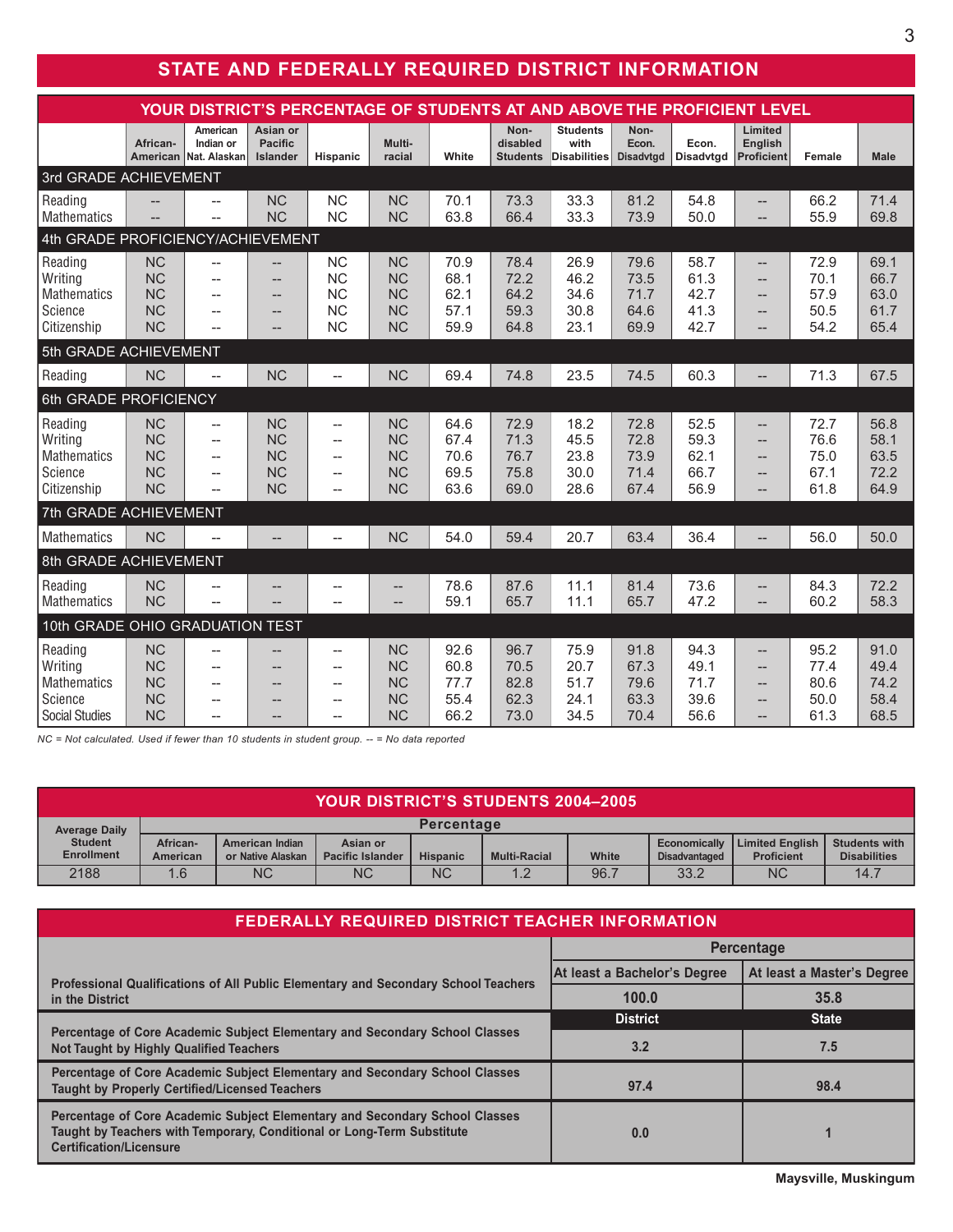## **STATE AND FEDERALLY REQUIRED DISTRICT INFORMATION**

| YOUR DISTRICT'S PERCENTAGE OF STUDENTS AT AND ABOVE THE PROFICIENT LEVEL     |                                                               |                                                                             |                                                               |                                                                                       |                                                               |                                      |                                      |                                         |                                      |                                      |                                                      |                                      |                                      |
|------------------------------------------------------------------------------|---------------------------------------------------------------|-----------------------------------------------------------------------------|---------------------------------------------------------------|---------------------------------------------------------------------------------------|---------------------------------------------------------------|--------------------------------------|--------------------------------------|-----------------------------------------|--------------------------------------|--------------------------------------|------------------------------------------------------|--------------------------------------|--------------------------------------|
|                                                                              | African-<br>American                                          | American<br>Indian or<br>Nat. Alaskan                                       | Asian or<br><b>Pacific</b><br><b>Islander</b>                 | Hispanic                                                                              | Multi-<br>racial                                              | White                                | Non-<br>disabled<br><b>Students</b>  | <b>Students</b><br>with<br>Disabilities | Non-<br>Econ.<br><b>Disadvtgd</b>    | Econ.<br>Disadvtgd                   | Limited<br>English<br><b>Proficient</b>              | Female                               | <b>Male</b>                          |
| 3rd GRADE ACHIEVEMENT                                                        |                                                               |                                                                             |                                                               |                                                                                       |                                                               |                                      |                                      |                                         |                                      |                                      |                                                      |                                      |                                      |
| Reading<br>Mathematics                                                       |                                                               | $\overline{a}$                                                              | <b>NC</b><br><b>NC</b>                                        | <b>NC</b><br><b>NC</b>                                                                | <b>NC</b><br><b>NC</b>                                        | 70.1<br>63.8                         | 73.3<br>66.4                         | 33.3<br>33.3                            | 81.2<br>73.9                         | 54.8<br>50.0                         | --<br>$-$                                            | 66.2<br>55.9                         | 71.4<br>69.8                         |
| 4th GRADE PROFICIENCY/ACHIEVEMENT                                            |                                                               |                                                                             |                                                               |                                                                                       |                                                               |                                      |                                      |                                         |                                      |                                      |                                                      |                                      |                                      |
| Reading<br>Writing<br>Mathematics<br>Science<br>Citizenship                  | <b>NC</b><br><b>NC</b><br><b>NC</b><br><b>NC</b><br><b>NC</b> | $-$<br>$\overline{a}$<br>$\overline{a}$<br>$\overline{a}$<br>$\overline{a}$ | $\overline{\phantom{a}}$<br>--<br>--<br>--<br>$\overline{a}$  | <b>NC</b><br><b>NC</b><br><b>NC</b><br><b>NC</b><br><b>NC</b>                         | <b>NC</b><br><b>NC</b><br><b>NC</b><br><b>NC</b><br><b>NC</b> | 70.9<br>68.1<br>62.1<br>57.1<br>59.9 | 78.4<br>72.2<br>64.2<br>59.3<br>64.8 | 26.9<br>46.2<br>34.6<br>30.8<br>23.1    | 79.6<br>73.5<br>71.7<br>64.6<br>69.9 | 58.7<br>61.3<br>42.7<br>41.3<br>42.7 | --<br>$-$<br>$-$<br>$-$<br>$-$                       | 72.9<br>70.1<br>57.9<br>50.5<br>54.2 | 69.1<br>66.7<br>63.0<br>61.7<br>65.4 |
| 5th GRADE ACHIEVEMENT                                                        |                                                               |                                                                             |                                                               |                                                                                       |                                                               |                                      |                                      |                                         |                                      |                                      |                                                      |                                      |                                      |
| Reading                                                                      | <b>NC</b>                                                     | $\overline{\phantom{a}}$                                                    | <b>NC</b>                                                     | --                                                                                    | <b>NC</b>                                                     | 69.4                                 | 74.8                                 | 23.5                                    | 74.5                                 | 60.3                                 | $\overline{\phantom{0}}$                             | 71.3                                 | 67.5                                 |
| 6th GRADE PROFICIENCY                                                        |                                                               |                                                                             |                                                               |                                                                                       |                                                               |                                      |                                      |                                         |                                      |                                      |                                                      |                                      |                                      |
| Reading<br>Writing<br><b>Mathematics</b><br>Science<br>Citizenship           | <b>NC</b><br><b>NC</b><br><b>NC</b><br><b>NC</b><br><b>NC</b> | $-$<br>$-$<br>$-$<br>$\overline{\phantom{a}}$<br>$\overline{a}$             | <b>NC</b><br><b>NC</b><br><b>NC</b><br><b>NC</b><br><b>NC</b> | $-$<br>$\overline{\phantom{a}}$<br>$\overline{a}$<br>$\overline{a}$<br>$\overline{a}$ | <b>NC</b><br><b>NC</b><br><b>NC</b><br><b>NC</b><br><b>NC</b> | 64.6<br>67.4<br>70.6<br>69.5<br>63.6 | 72.9<br>71.3<br>76.7<br>75.8<br>69.0 | 18.2<br>45.5<br>23.8<br>30.0<br>28.6    | 72.8<br>72.8<br>73.9<br>71.4<br>67.4 | 52.5<br>59.3<br>62.1<br>66.7<br>56.9 | $-$<br>$-$<br>$-$<br>$-$<br>$\overline{\phantom{0}}$ | 72.7<br>76.6<br>75.0<br>67.1<br>61.8 | 56.8<br>58.1<br>63.5<br>72.2<br>64.9 |
| 7th GRADE ACHIEVEMENT                                                        |                                                               |                                                                             |                                                               |                                                                                       |                                                               |                                      |                                      |                                         |                                      |                                      |                                                      |                                      |                                      |
| <b>Mathematics</b>                                                           | <b>NC</b>                                                     | $\overline{\phantom{0}}$                                                    | --                                                            | $\overline{\phantom{a}}$                                                              | NC                                                            | 54.0                                 | 59.4                                 | 20.7                                    | 63.4                                 | 36.4                                 | --                                                   | 56.0                                 | 50.0                                 |
| 8th GRADE ACHIEVEMENT                                                        |                                                               |                                                                             |                                                               |                                                                                       |                                                               |                                      |                                      |                                         |                                      |                                      |                                                      |                                      |                                      |
| Reading<br>Mathematics                                                       | <b>NC</b><br><b>NC</b>                                        | $\overline{a}$                                                              | --                                                            | $\overline{\phantom{a}}$                                                              | $- -$<br>$\overline{a}$                                       | 78.6<br>59.1                         | 87.6<br>65.7                         | 11.1<br>11.1                            | 81.4<br>65.7                         | 73.6<br>47.2                         | --<br>$-$                                            | 84.3<br>60.2                         | 72.2<br>58.3                         |
| 10th GRADE OHIO GRADUATION TEST                                              |                                                               |                                                                             |                                                               |                                                                                       |                                                               |                                      |                                      |                                         |                                      |                                      |                                                      |                                      |                                      |
| Reading<br>Writing<br><b>Mathematics</b><br>Science<br><b>Social Studies</b> | <b>NC</b><br><b>NC</b><br><b>NC</b><br><b>NC</b><br><b>NC</b> | $\overline{\phantom{a}}$<br>--<br>--<br>--                                  | --<br>--                                                      | --<br>--<br>--<br>--<br>--                                                            | <b>NC</b><br><b>NC</b><br><b>NC</b><br><b>NC</b><br><b>NC</b> | 92.6<br>60.8<br>77.7<br>55.4<br>66.2 | 96.7<br>70.5<br>82.8<br>62.3<br>73.0 | 75.9<br>20.7<br>51.7<br>24.1<br>34.5    | 91.8<br>67.3<br>79.6<br>63.3<br>70.4 | 94.3<br>49.1<br>71.7<br>39.6<br>56.6 | $-$<br>--<br>--<br>--                                | 95.2<br>77.4<br>80.6<br>50.0<br>61.3 | 91.0<br>49.4<br>74.2<br>58.4<br>68.5 |

*NC = Not calculated. Used if fewer than 10 students in student group. -- = No data reported* 

| <b>YOUR DISTRICT'S STUDENTS 2004-2005</b> |                      |                                             |                                     |                 |                     |       |                                             |                                             |                                      |
|-------------------------------------------|----------------------|---------------------------------------------|-------------------------------------|-----------------|---------------------|-------|---------------------------------------------|---------------------------------------------|--------------------------------------|
| <b>Average Daily</b>                      | <b>Percentage</b>    |                                             |                                     |                 |                     |       |                                             |                                             |                                      |
| <b>Student</b><br><b>Enrollment</b>       | African-<br>American | <b>American Indian</b><br>or Native Alaskan | Asian or<br><b>Pacific Islander</b> | <b>Hispanic</b> | <b>Multi-Racial</b> | White | <b>Economically</b><br><b>Disadvantaged</b> | <b>Limited English</b><br><b>Proficient</b> | Students with<br><b>Disabilities</b> |
| 2188                                      | 1.6                  | <b>NC</b>                                   | <b>NC</b>                           | <b>NC</b>       |                     | 96.7  | 33.2                                        | <b>NC</b>                                   | 14.7                                 |

| <b>FEDERALLY REQUIRED DISTRICT TEACHER INFORMATION</b>                                                                                                                                  |                              |                            |  |  |  |  |
|-----------------------------------------------------------------------------------------------------------------------------------------------------------------------------------------|------------------------------|----------------------------|--|--|--|--|
|                                                                                                                                                                                         | <b>Percentage</b>            |                            |  |  |  |  |
| Professional Qualifications of All Public Elementary and Secondary School Teachers                                                                                                      | At least a Bachelor's Degree | At least a Master's Degree |  |  |  |  |
| in the District                                                                                                                                                                         | 100.0                        | 35.8                       |  |  |  |  |
|                                                                                                                                                                                         | <b>District</b>              | <b>State</b>               |  |  |  |  |
| Percentage of Core Academic Subject Elementary and Secondary School Classes<br><b>Not Taught by Highly Qualified Teachers</b>                                                           | 3.2                          | 7.5                        |  |  |  |  |
| Percentage of Core Academic Subject Elementary and Secondary School Classes<br><b>Taught by Properly Certified/Licensed Teachers</b>                                                    | 97.4                         | 98.4                       |  |  |  |  |
| Percentage of Core Academic Subject Elementary and Secondary School Classes<br>Taught by Teachers with Temporary, Conditional or Long-Term Substitute<br><b>Certification/Licensure</b> | 0.0                          |                            |  |  |  |  |

**Maysville, Muskingum**